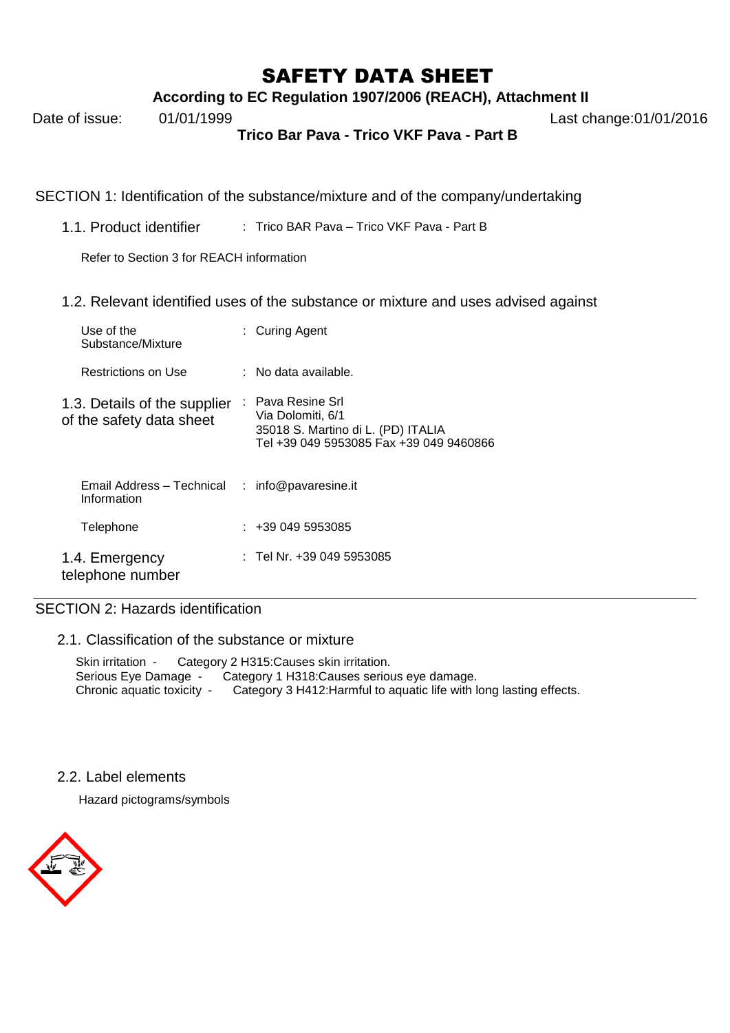## SAFETY DATA SHEET

**According to EC Regulation 1907/2006 (REACH), Attachment II**

**Trico Bar Pava - Trico VKF Pava - Part B**

SECTION 1: Identification of the substance/mixture and of the company/undertaking

1.1. Product identifier : Trico BAR Pava – Trico VKF Pava - Part B

Refer to Section 3 for REACH information

1.2. Relevant identified uses of the substance or mixture and uses advised against

| Use of the<br>Substance/Mixture                          | : Curing Agent                                                                                                          |
|----------------------------------------------------------|-------------------------------------------------------------------------------------------------------------------------|
| Restrictions on Use                                      | ∶ No data available.                                                                                                    |
| 1.3. Details of the supplier<br>of the safety data sheet | : Pava Resine Srl<br>Via Dolomiti, 6/1<br>35018 S. Martino di L. (PD) ITALIA<br>Tel +39 049 5953085 Fax +39 049 9460866 |
| Email Address - Technical<br>Information                 | : info@pavaresine.it                                                                                                    |
| Telephone                                                | : 4390495953085                                                                                                         |
| 1.4. Emergency<br>telephone number                       | : Tel Nr. +39 049 5953085                                                                                               |

## SECTION 2: Hazards identification

2.1. Classification of the substance or mixture

Skin irritation - Category 2 H315:Causes skin irritation. Serious Eye Damage - Category 1 H318:Causes serious eye damage. Chronic aquatic toxicity - Category 3 H412:Harmful to aquatic life with long lasting effects.

2.2. Label elements

Hazard pictograms/symbols



Date of issue: 01/01/1999 Last change:01/01/2016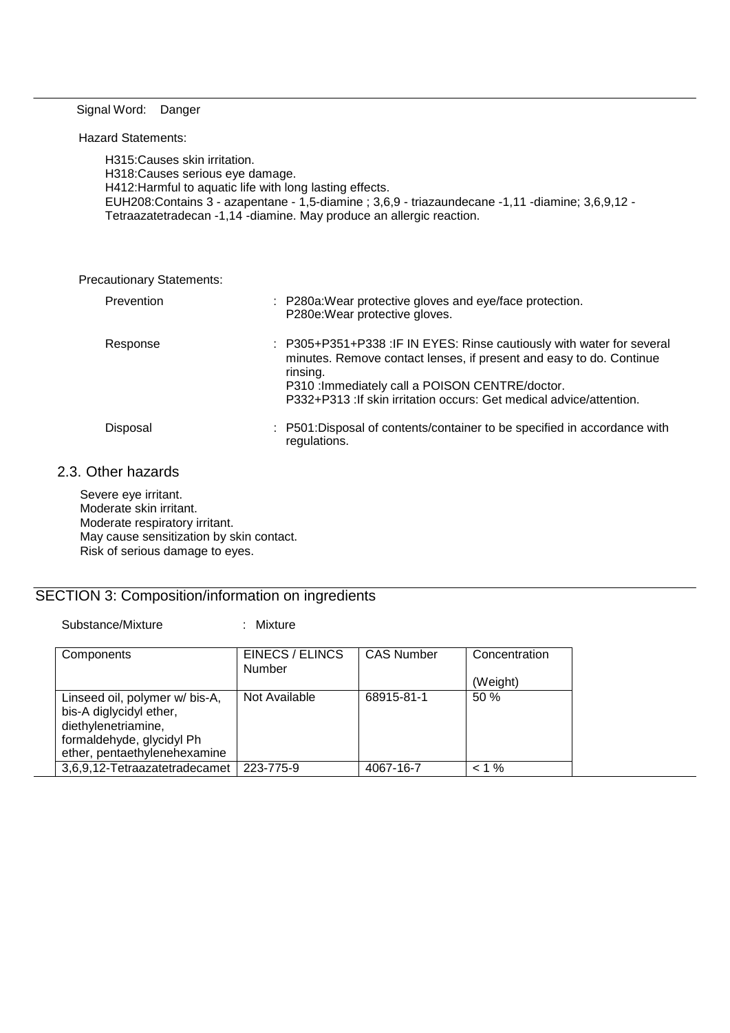#### Signal Word: Danger

#### Hazard Statements:

H315:Causes skin irritation. H318:Causes serious eye damage. H412:Harmful to aquatic life with long lasting effects. EUH208:Contains 3 - azapentane - 1,5-diamine ; 3,6,9 - triazaundecane -1,11 -diamine; 3,6,9,12 - Tetraazatetradecan -1,14 -diamine. May produce an allergic reaction.

Precautionary Statements:

| Prevention | : P280a: Wear protective gloves and eye/face protection.<br>P280e: Wear protective gloves.                                                                                                                                                                                          |
|------------|-------------------------------------------------------------------------------------------------------------------------------------------------------------------------------------------------------------------------------------------------------------------------------------|
| Response   | : P305+P351+P338 :IF IN EYES: Rinse cautiously with water for several<br>minutes. Remove contact lenses, if present and easy to do. Continue<br>rinsing.<br>P310 : Immediately call a POISON CENTRE/doctor.<br>P332+P313 : If skin irritation occurs: Get medical advice/attention. |
| Disposal   | : P501: Disposal of contents/container to be specified in accordance with<br>regulations.                                                                                                                                                                                           |

### 2.3. Other hazards

Severe eye irritant. Moderate skin irritant. Moderate respiratory irritant. May cause sensitization by skin contact. Risk of serious damage to eyes.

## SECTION 3: Composition/information on ingredients

Substance/Mixture : Mixture

| Components                                                                                                                                    | EINECS / ELINCS<br><b>Number</b> | <b>CAS Number</b> | Concentration |
|-----------------------------------------------------------------------------------------------------------------------------------------------|----------------------------------|-------------------|---------------|
|                                                                                                                                               |                                  |                   | (Weight)      |
| Linseed oil, polymer w/ bis-A,<br>bis-A diglycidyl ether,<br>diethylenetriamine,<br>formaldehyde, glycidyl Ph<br>ether, pentaethylenehexamine | Not Available                    | 68915-81-1        | 50%           |
| 3,6,9,12-Tetraazatetradecamet                                                                                                                 | 223-775-9                        | 4067-16-7         | $< 1\%$       |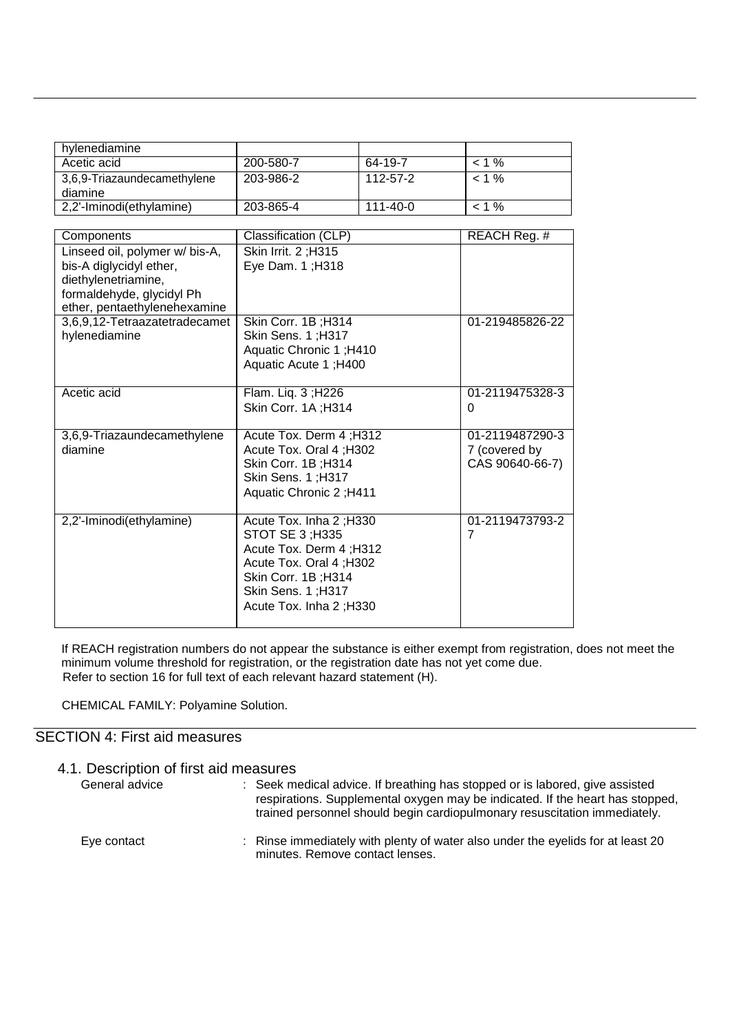| hylenediamine                          |           |          |          |
|----------------------------------------|-----------|----------|----------|
| Acetic acid                            | 200-580-7 | 64-19-7  | $< 1\%$  |
| 3,6,9-Triazaundecamethylene<br>diamine | 203-986-2 | 112-57-2 | $< 1 \%$ |
| 2,2'-Iminodi(ethylamine)               | 203-865-4 | 111-40-0 | < 1 %    |

| Components                     | Classification (CLP)           | REACH Reg. #                      |
|--------------------------------|--------------------------------|-----------------------------------|
| Linseed oil, polymer w/ bis-A, | Skin Irrit. 2; H315            |                                   |
| bis-A diglycidyl ether,        | Eye Dam. 1; H318               |                                   |
| diethylenetriamine,            |                                |                                   |
| formaldehyde, glycidyl Ph      |                                |                                   |
| ether, pentaethylenehexamine   |                                |                                   |
| 3,6,9,12-Tetraazatetradecamet  | Skin Corr. 1B; H314            | 01-219485826-22                   |
| hylenediamine                  | Skin Sens. 1; H317             |                                   |
|                                | Aquatic Chronic 1; H410        |                                   |
|                                | Aquatic Acute 1; H400          |                                   |
|                                |                                |                                   |
| Acetic acid                    | Flam. Liq. 3; H226             | 01-2119475328-3                   |
|                                | Skin Corr. 1A; H314            | 0                                 |
|                                |                                |                                   |
| 3,6,9-Triazaundecamethylene    | Acute Tox. Derm 4; H312        | 01-2119487290-3                   |
| diamine                        | Acute Tox. Oral 4; H302        | 7 (covered by                     |
|                                | Skin Corr. 1B; H314            | CAS 90640-66-7)                   |
|                                | Skin Sens. 1; H317             |                                   |
|                                | <b>Aquatic Chronic 2; H411</b> |                                   |
|                                |                                |                                   |
| 2,2'-Iminodi(ethylamine)       | Acute Tox. Inha 2; H330        | 01-2119473793-2<br>$\overline{7}$ |
|                                | STOT SE 3; H335                |                                   |
|                                | Acute Tox. Derm 4; H312        |                                   |
|                                | Acute Tox. Oral 4; H302        |                                   |
|                                | Skin Corr. 1B; H314            |                                   |
|                                | Skin Sens. 1; H317             |                                   |
|                                | Acute Tox. Inha 2; H330        |                                   |
|                                |                                |                                   |

If REACH registration numbers do not appear the substance is either exempt from registration, does not meet the minimum volume threshold for registration, or the registration date has not yet come due. Refer to section 16 for full text of each relevant hazard statement (H).

CHEMICAL FAMILY: Polyamine Solution.

## SECTION 4: First aid measures

| 4.1. Description of first aid measures |                                                                                                                                                                                                                                            |
|----------------------------------------|--------------------------------------------------------------------------------------------------------------------------------------------------------------------------------------------------------------------------------------------|
| General advice                         | : Seek medical advice. If breathing has stopped or is labored, give assisted<br>respirations. Supplemental oxygen may be indicated. If the heart has stopped,<br>trained personnel should begin cardiopulmonary resuscitation immediately. |
| Eye contact                            | : Rinse immediately with plenty of water also under the eyelids for at least 20<br>minutes. Remove contact lenses.                                                                                                                         |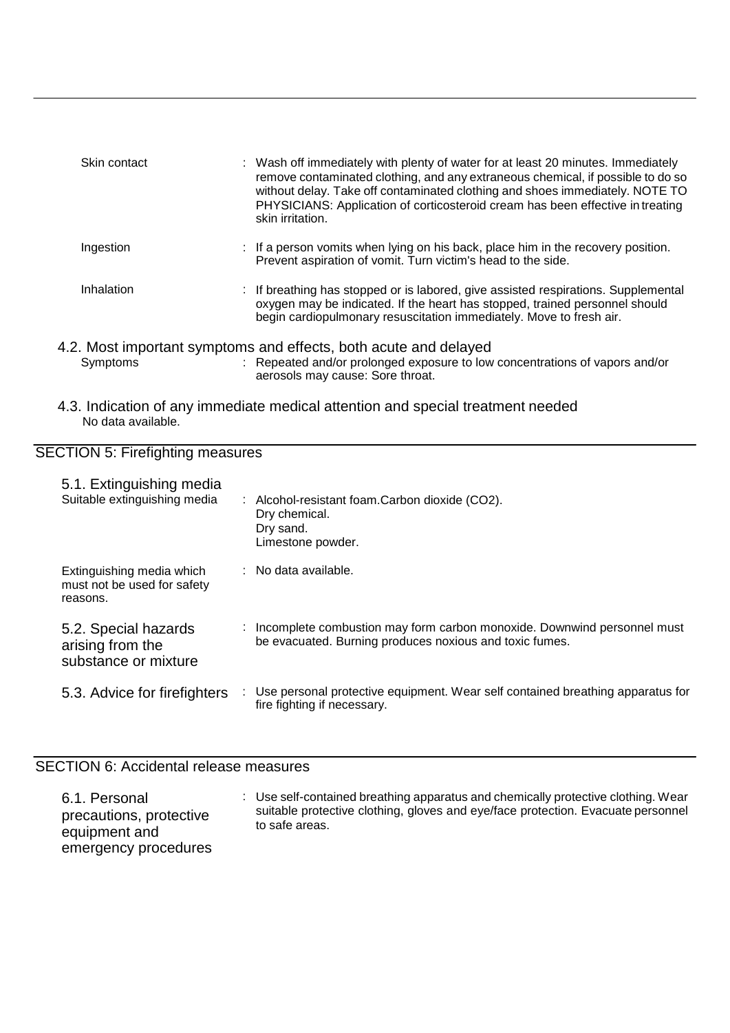| Skin contact | : Wash off immediately with plenty of water for at least 20 minutes. Immediately<br>remove contaminated clothing, and any extraneous chemical, if possible to do so<br>without delay. Take off contaminated clothing and shoes immediately. NOTE TO<br>PHYSICIANS: Application of corticosteroid cream has been effective in treating<br>skin irritation. |
|--------------|-----------------------------------------------------------------------------------------------------------------------------------------------------------------------------------------------------------------------------------------------------------------------------------------------------------------------------------------------------------|
| Ingestion    | : If a person vomits when lying on his back, place him in the recovery position.<br>Prevent aspiration of vomit. Turn victim's head to the side.                                                                                                                                                                                                          |
| Inhalation   | : If breathing has stopped or is labored, give assisted respirations. Supplemental<br>oxygen may be indicated. If the heart has stopped, trained personnel should<br>begin cardiopulmonary resuscitation immediately. Move to fresh air.                                                                                                                  |
| Symptoms     | 4.2. Most important symptoms and effects, both acute and delayed<br>: Repeated and/or prolonged exposure to low concentrations of vapors and/or<br>aerosols may cause: Sore throat.                                                                                                                                                                       |

4.3. Indication of any immediate medical attention and special treatment needed No data available.

### SECTION 5: Firefighting measures

| 5.1. Extinguishing media<br>Suitable extinguishing media             | : Alcohol-resistant foam.Carbon dioxide (CO2).<br>Dry chemical.<br>Dry sand.<br>Limestone powder.                                  |  |
|----------------------------------------------------------------------|------------------------------------------------------------------------------------------------------------------------------------|--|
| Extinguishing media which<br>must not be used for safety<br>reasons. | $\therefore$ No data available.                                                                                                    |  |
| 5.2. Special hazards<br>arising from the<br>substance or mixture     | Incomplete combustion may form carbon monoxide. Downwind personnel must<br>be evacuated. Burning produces noxious and toxic fumes. |  |
| 5.3. Advice for firefighters                                         | Use personal protective equipment. Wear self contained breathing apparatus for<br>fire fighting if necessary.                      |  |

## SECTION 6: Accidental release measures

6.1. Personal precautions, protective equipment and emergency procedures : Use self-contained breathing apparatus and chemically protective clothing. Wear suitable protective clothing, gloves and eye/face protection. Evacuate personnel to safe areas.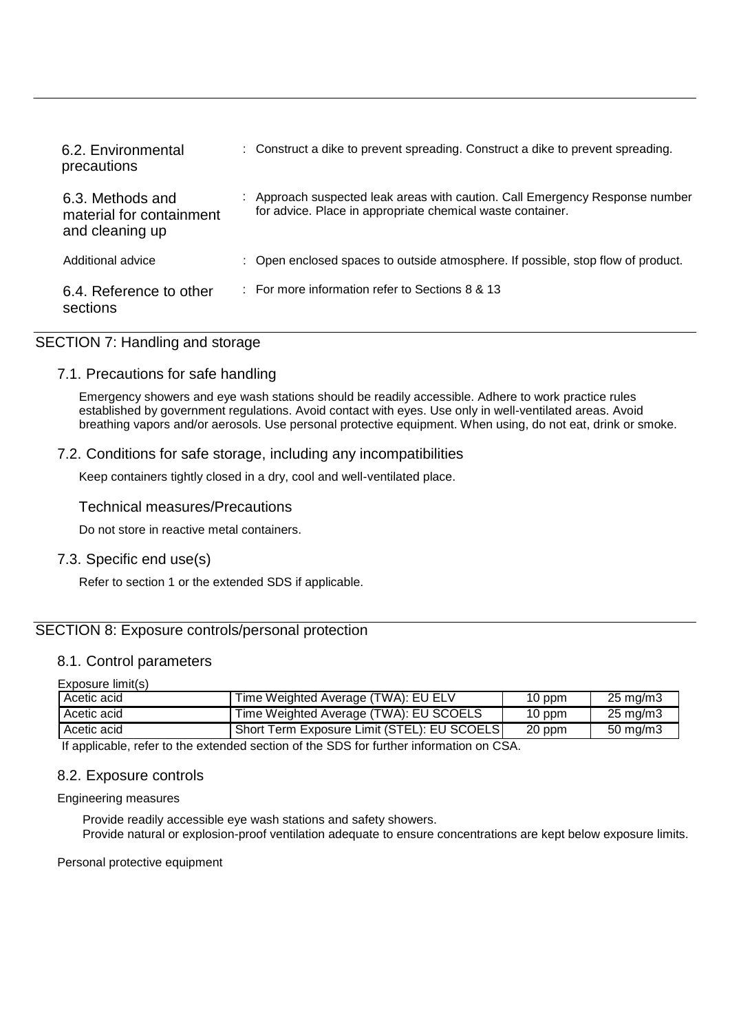| 6.2. Environmental<br>precautions                               | : Construct a dike to prevent spreading. Construct a dike to prevent spreading.                                                            |
|-----------------------------------------------------------------|--------------------------------------------------------------------------------------------------------------------------------------------|
| 6.3. Methods and<br>material for containment<br>and cleaning up | : Approach suspected leak areas with caution. Call Emergency Response number<br>for advice. Place in appropriate chemical waste container. |
| Additional advice                                               | : Open enclosed spaces to outside atmosphere. If possible, stop flow of product.                                                           |
| 6.4. Reference to other<br>sections                             | : For more information refer to Sections 8 & 13                                                                                            |

## SECTION 7: Handling and storage

## 7.1. Precautions for safe handling

Emergency showers and eye wash stations should be readily accessible. Adhere to work practice rules established by government regulations. Avoid contact with eyes. Use only in well-ventilated areas. Avoid breathing vapors and/or aerosols. Use personal protective equipment. When using, do not eat, drink or smoke.

## 7.2. Conditions for safe storage, including any incompatibilities

Keep containers tightly closed in a dry, cool and well-ventilated place.

Technical measures/Precautions

Do not store in reactive metal containers.

## 7.3. Specific end use(s)

Refer to section 1 or the extended SDS if applicable.

## SECTION 8: Exposure controls/personal protection

#### 8.1. Control parameters

Exposure limit(s)

| Acetic acid | Time Weighted Average (TWA): EU ELV         | $10$ ppm | $25 \text{ mg/m}$ 3 |
|-------------|---------------------------------------------|----------|---------------------|
| Acetic acid | Time Weighted Average (TWA): EU SCOELS      | 10 ppm   | $25 \text{ mg/m}$ 3 |
| Acetic acid | Short Term Exposure Limit (STEL): EU SCOELS | 20 ppm   | $50 \text{ mg/m}$ 3 |

If applicable, refer to the extended section of the SDS for further information on CSA.

#### 8.2. Exposure controls

Engineering measures

Provide readily accessible eye wash stations and safety showers. Provide natural or explosion-proof ventilation adequate to ensure concentrations are kept below exposure limits.

Personal protective equipment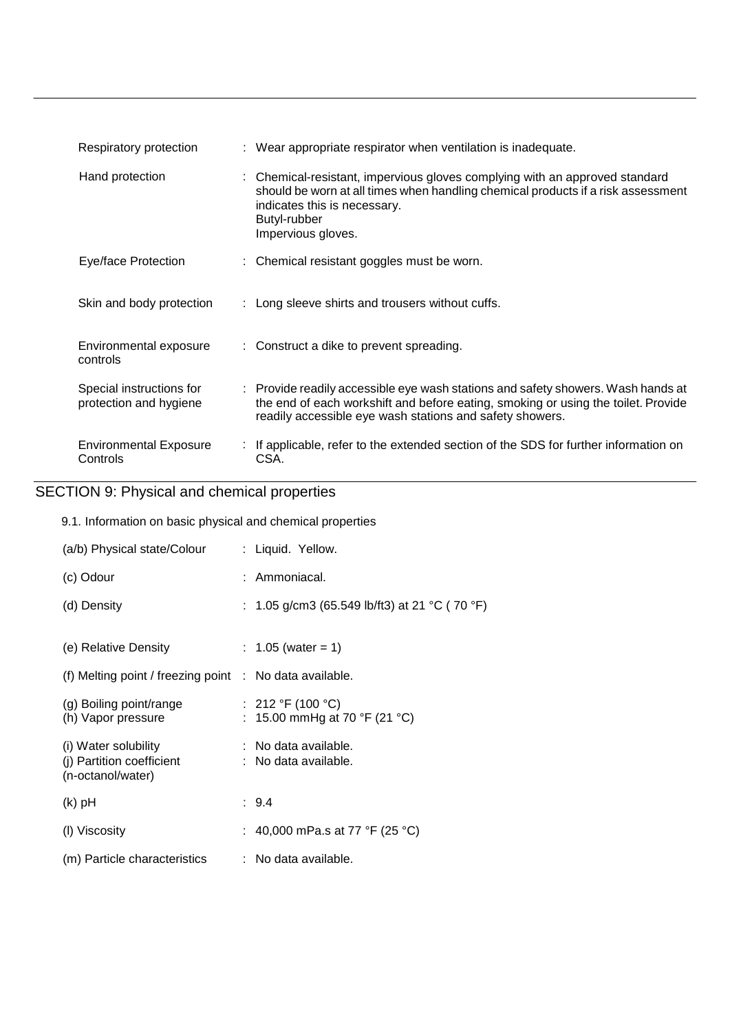| Respiratory protection                             |                                                                    | : Wear appropriate respirator when ventilation is inadequate.                                                                                                                                                                     |
|----------------------------------------------------|--------------------------------------------------------------------|-----------------------------------------------------------------------------------------------------------------------------------------------------------------------------------------------------------------------------------|
| Hand protection                                    | indicates this is necessary.<br>Butyl-rubber<br>Impervious gloves. | : Chemical-resistant, impervious gloves complying with an approved standard<br>should be worn at all times when handling chemical products if a risk assessment                                                                   |
| Eye/face Protection                                |                                                                    | : Chemical resistant goggles must be worn.                                                                                                                                                                                        |
| Skin and body protection                           |                                                                    | : Long sleeve shirts and trousers without cuffs.                                                                                                                                                                                  |
| Environmental exposure<br>controls                 |                                                                    | : Construct a dike to prevent spreading.                                                                                                                                                                                          |
| Special instructions for<br>protection and hygiene |                                                                    | : Provide readily accessible eye wash stations and safety showers. Wash hands at<br>the end of each workshift and before eating, smoking or using the toilet. Provide<br>readily accessible eye wash stations and safety showers. |
| <b>Environmental Exposure</b><br>Controls          | CSA.                                                               | : If applicable, refer to the extended section of the SDS for further information on                                                                                                                                              |

# SECTION 9: Physical and chemical properties

9.1. Information on basic physical and chemical properties

| (a/b) Physical state/Colour                                            | : Liquid. Yellow.                                  |
|------------------------------------------------------------------------|----------------------------------------------------|
| (c) Odour                                                              | : Ammoniacal.                                      |
| (d) Density                                                            | : 1.05 g/cm3 (65.549 lb/ft3) at 21 °C (70 °F)      |
|                                                                        |                                                    |
| (e) Relative Density                                                   | : $1.05$ (water = 1)                               |
| (f) Melting point / freezing point $\therefore$ No data available.     |                                                    |
| (g) Boiling point/range<br>(h) Vapor pressure                          | : 212 °F (100 °C)<br>: 15.00 mmHg at 70 °F (21 °C) |
| (i) Water solubility<br>(i) Partition coefficient<br>(n-octanol/water) | : No data available.<br>: No data available.       |
| $(k)$ pH                                                               | : 9.4                                              |
| (I) Viscosity                                                          | : 40,000 mPa.s at 77 °F (25 °C)                    |
| (m) Particle characteristics                                           | $:$ No data available.                             |
|                                                                        |                                                    |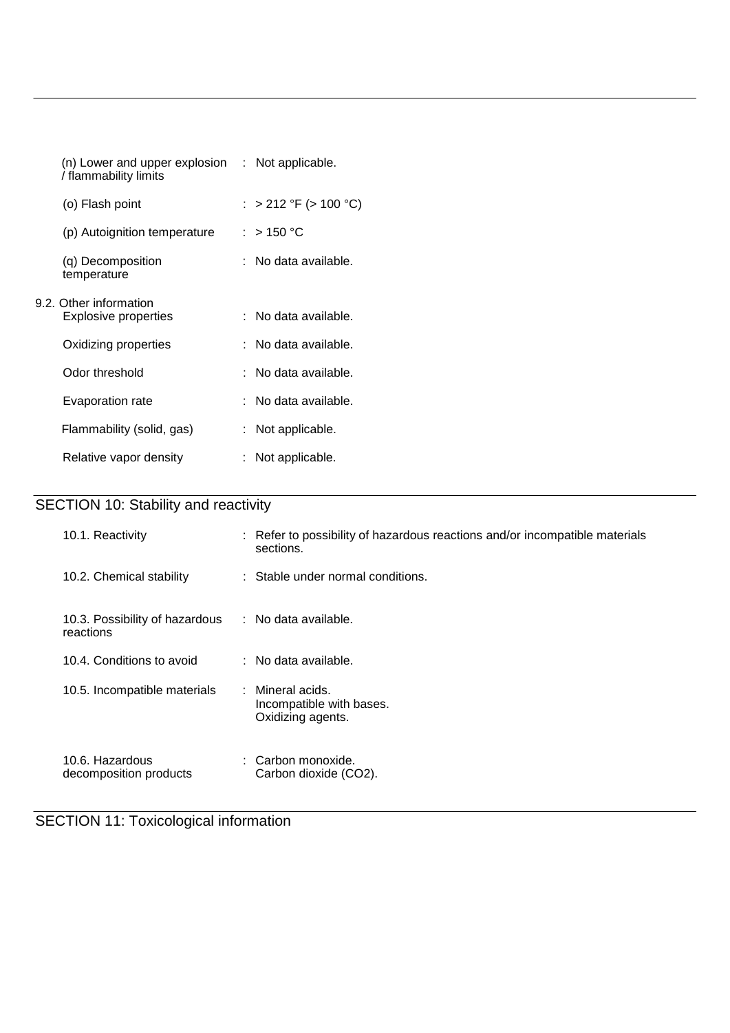| $(n)$ Lower and upper explosion $\therefore$ Not applicable.<br>/ flammability limits |                        |
|---------------------------------------------------------------------------------------|------------------------|
| (o) Flash point                                                                       | : > 212 °F (> 100 °C)  |
| (p) Autoignition temperature                                                          | : $>$ 150 °C           |
| (q) Decomposition<br>temperature                                                      | $:$ No data available. |
| 9.2. Other information<br>Explosive properties                                        | : No data available.   |
| Oxidizing properties                                                                  | $:$ No data available. |
| Odor threshold                                                                        | : No data available.   |
| Evaporation rate                                                                      | : No data available.   |
| Flammability (solid, gas)                                                             | : Not applicable.      |
| Relative vapor density                                                                | : Not applicable.      |

# SECTION 10: Stability and reactivity

| 10.1. Reactivity                            | : Refer to possibility of hazardous reactions and/or incompatible materials<br>sections. |
|---------------------------------------------|------------------------------------------------------------------------------------------|
| 10.2. Chemical stability                    | : Stable under normal conditions.                                                        |
| 10.3. Possibility of hazardous<br>reactions | : No data available.                                                                     |
| 10.4. Conditions to avoid                   | $:$ No data available.                                                                   |
| 10.5. Incompatible materials                | : Mineral acids.<br>Incompatible with bases.<br>Oxidizing agents.                        |
| 10.6. Hazardous<br>decomposition products   | Carbon monoxide.<br>Carbon dioxide (CO2).                                                |

## SECTION 11: Toxicological information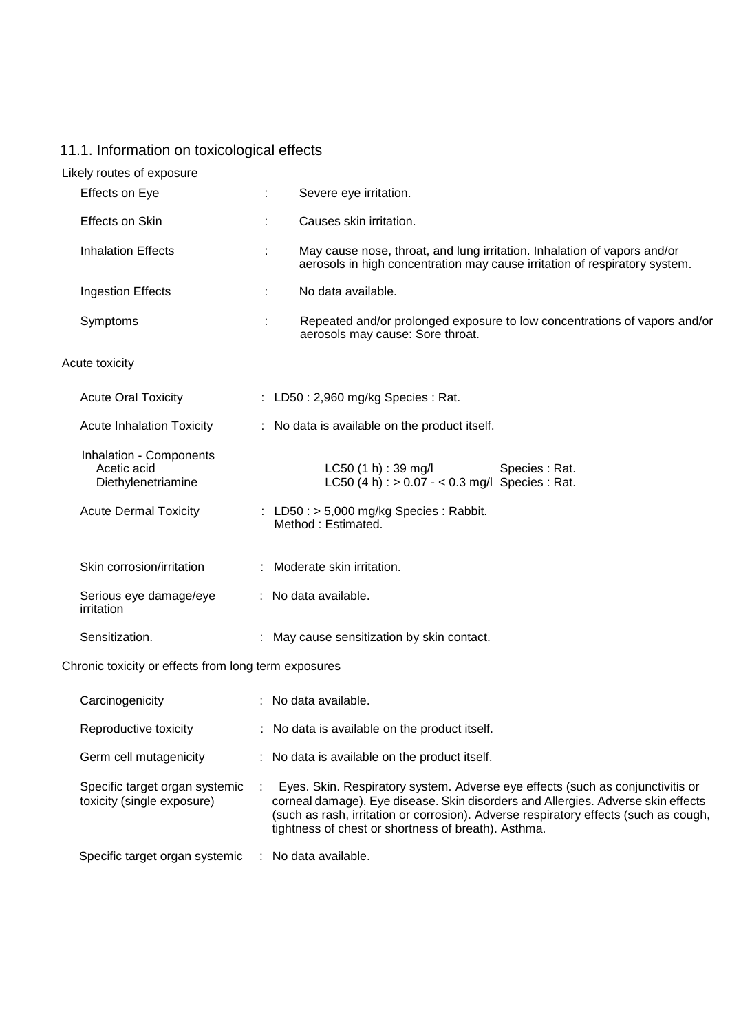## 11.1. Information on toxicological effects

| Likely routes of exposure                                    |   |                                                                                                                                                        |
|--------------------------------------------------------------|---|--------------------------------------------------------------------------------------------------------------------------------------------------------|
| Effects on Eye                                               | ÷ | Severe eye irritation.                                                                                                                                 |
| Effects on Skin                                              | ÷ | Causes skin irritation.                                                                                                                                |
| <b>Inhalation Effects</b>                                    | ÷ | May cause nose, throat, and lung irritation. Inhalation of vapors and/or<br>aerosols in high concentration may cause irritation of respiratory system. |
| <b>Ingestion Effects</b>                                     | ÷ | No data available.                                                                                                                                     |
| Symptoms                                                     |   | Repeated and/or prolonged exposure to low concentrations of vapors and/or<br>aerosols may cause: Sore throat.                                          |
| Acute toxicity                                               |   |                                                                                                                                                        |
| <b>Acute Oral Toxicity</b>                                   |   | : LD50 : 2,960 mg/kg Species : Rat.                                                                                                                    |
| <b>Acute Inhalation Toxicity</b>                             |   | : No data is available on the product itself.                                                                                                          |
| Inhalation - Components<br>Acetic acid<br>Diethylenetriamine |   | LC50(1 h) : 39 mg/l<br>Species : Rat.<br>LC50 (4 h) : $> 0.07 - < 0.3$ mg/l Species : Rat.                                                             |
| <b>Acute Dermal Toxicity</b>                                 |   | : LD50 : $> 5,000$ mg/kg Species : Rabbit.<br>Method: Estimated.                                                                                       |
| Skin corrosion/irritation                                    |   | : Moderate skin irritation.                                                                                                                            |
| Serious eye damage/eye<br>irritation                         |   | : No data available.                                                                                                                                   |
| Sensitization.                                               |   | : May cause sensitization by skin contact.                                                                                                             |
| Chronic toxicity or effects from long term exposures         |   |                                                                                                                                                        |
| Carcinogenicity                                              |   | : No data available.                                                                                                                                   |
| Reproductive toxicity                                        |   | : No data is available on the product itself.                                                                                                          |
| Germ cell mutagenicity                                       |   | : No data is available on the product itself.                                                                                                          |

Specific target organ systemic toxicity (single exposure) : Eyes. Skin. Respiratory system. Adverse eye effects (such as conjunctivitis or corneal damage). Eye disease. Skin disorders and Allergies. Adverse skin effects (such as rash, irritation or corrosion). Adverse respiratory effects (such as cough, tightness of chest or shortness of breath). Asthma.

Specific target organ systemic : No data available.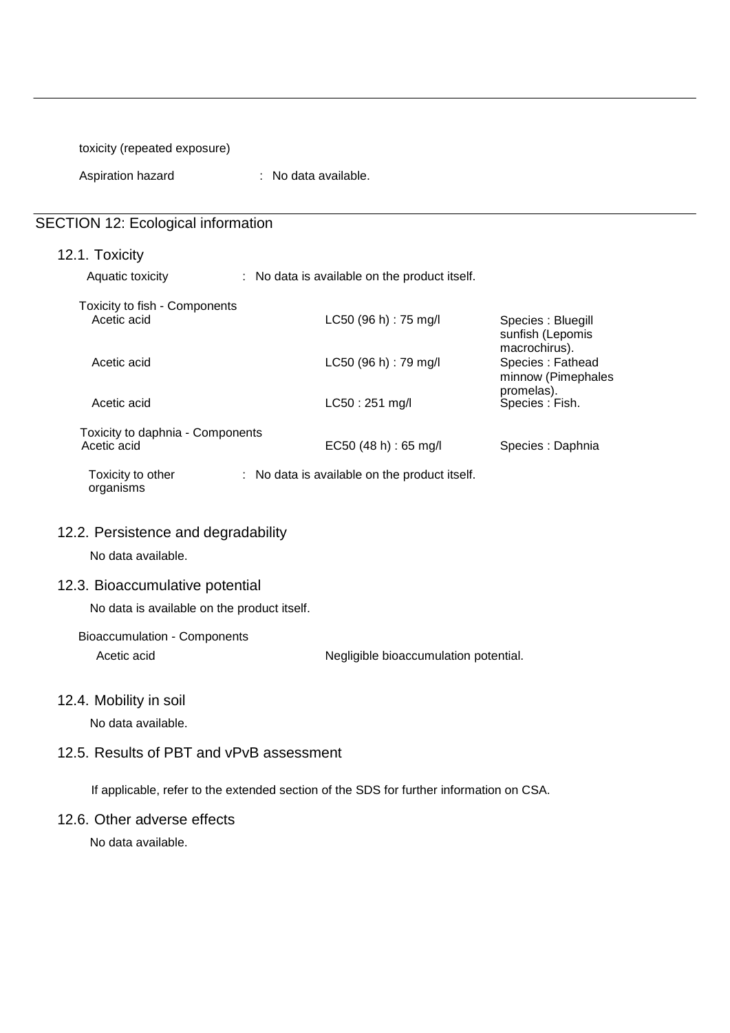toxicity (repeated exposure)

Aspiration hazard : No data available.

## SECTION 12: Ecological information

|  | 12.1. Toxicity |  |  |
|--|----------------|--|--|
|  |                |  |  |

Aquatic toxicity : No data is available on the product itself.

| Toxicity to fish - Components<br>Acetic acid    | $LC50$ (96 h) : 75 mg/l                                  | Species : Bluegill                                                          |
|-------------------------------------------------|----------------------------------------------------------|-----------------------------------------------------------------------------|
| Acetic acid                                     | LC50 (96 h) : 79 mg/l                                    | sunfish (Lepomis<br>macrochirus).<br>Species: Fathead<br>minnow (Pimephales |
| Acetic acid                                     | $LC50:251$ mg/l                                          | promelas).<br>Species : Fish.                                               |
| Toxicity to daphnia - Components<br>Acetic acid | EC50(48 h) : 65 mg/l                                     | Species : Daphnia                                                           |
| Toxicity to other<br>organisms                  | $\therefore$ No data is available on the product itself. |                                                                             |
| 12.2. Persistence and degradability             |                                                          |                                                                             |
| No data available.                              |                                                          |                                                                             |

## 12.3. Bioaccumulative potential

No data is available on the product itself.

Bioaccumulation - Components

Acetic acid **Negligible bioaccumulation potential.** 

#### 12.4. Mobility in soil

No data available.

## 12.5. Results of PBT and vPvB assessment

If applicable, refer to the extended section of the SDS for further information on CSA.

### 12.6. Other adverse effects

No data available.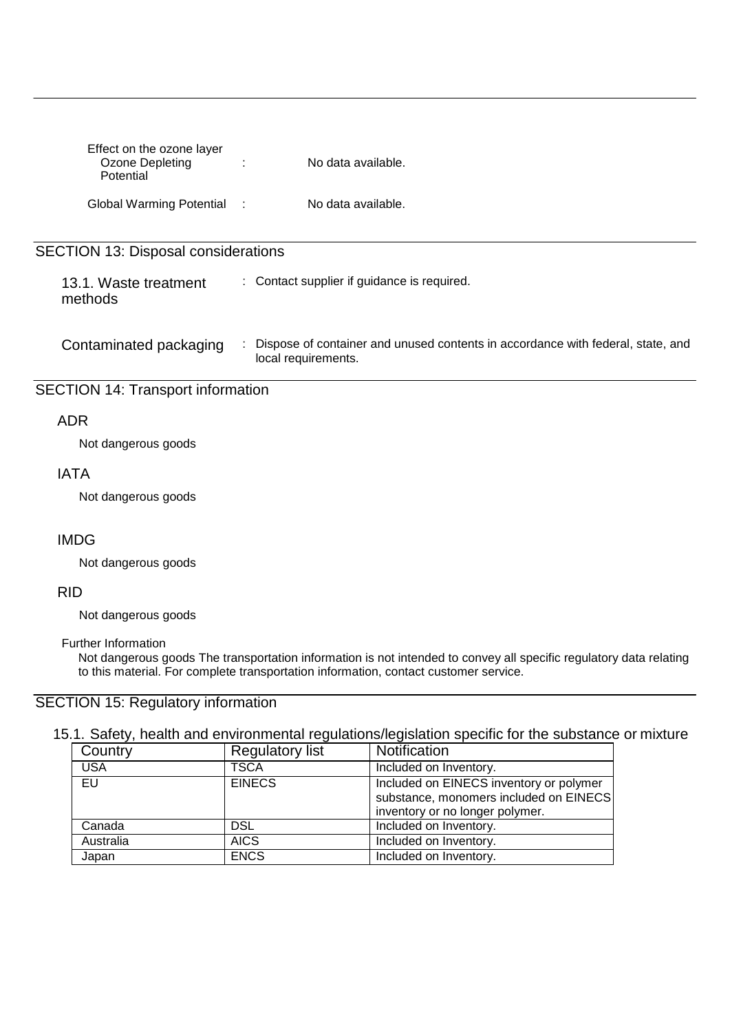| Effect on the ozone layer<br>Ozone Depleting<br>Potential | No data available.<br>÷                                                                                     |
|-----------------------------------------------------------|-------------------------------------------------------------------------------------------------------------|
| Global Warming Potential:                                 | No data available.                                                                                          |
|                                                           |                                                                                                             |
| <b>SECTION 13: Disposal considerations</b>                |                                                                                                             |
|                                                           |                                                                                                             |
| 13.1. Waste treatment<br>methods                          | : Contact supplier if guidance is required.                                                                 |
| Contaminated packaging                                    | Dispose of container and unused contents in accordance with federal, state, and<br>÷<br>local requirements. |
| <b>SECTION 14: Transport information</b>                  |                                                                                                             |
|                                                           |                                                                                                             |
| ADR                                                       |                                                                                                             |

Not dangerous goods

## IATA

Not dangerous goods

## IMDG

Not dangerous goods

## RID

Not dangerous goods

#### Further Information

Not dangerous goods The transportation information is not intended to convey all specific regulatory data relating to this material. For complete transportation information, contact customer service.

## SECTION 15: Regulatory information

## 15.1. Safety, health and environmental regulations/legislation specific for the substance or mixture

| Country    | <b>Regulatory list</b> | Notification                            |
|------------|------------------------|-----------------------------------------|
| <b>USA</b> | <b>TSCA</b>            | Included on Inventory.                  |
| EU         | <b>EINECS</b>          | Included on EINECS inventory or polymer |
|            |                        | substance, monomers included on EINECS  |
|            |                        | inventory or no longer polymer.         |
| Canada     | <b>DSL</b>             | Included on Inventory.                  |
| Australia  | <b>AICS</b>            | Included on Inventory.                  |
| Japan      | <b>ENCS</b>            | Included on Inventory.                  |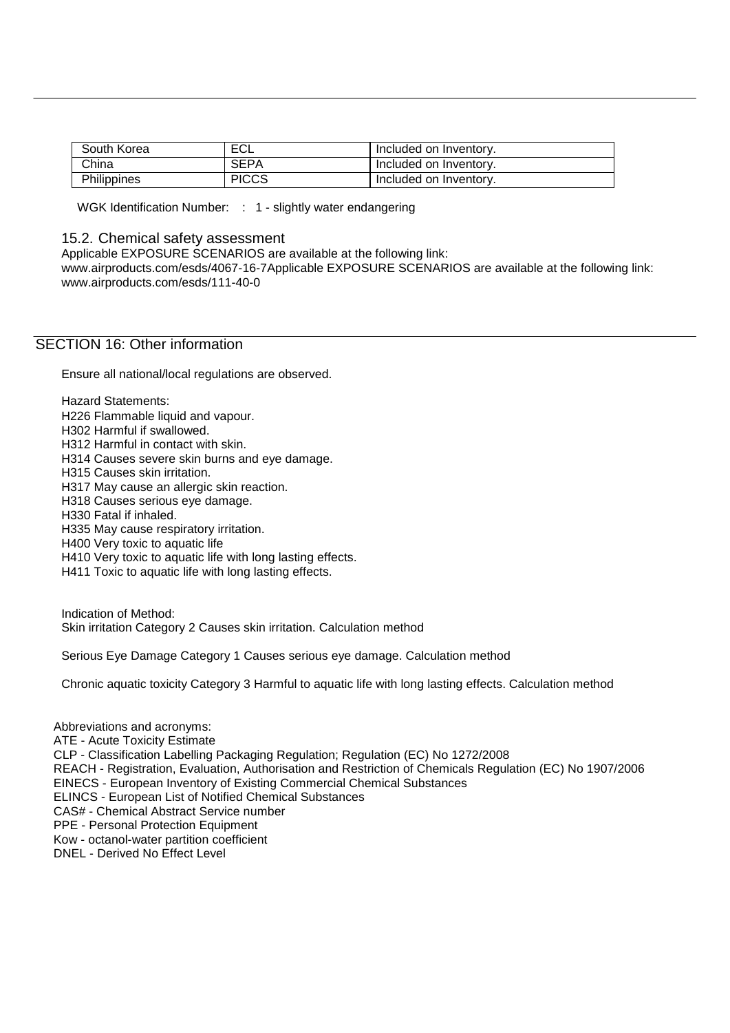| South Korea | ECL          | Included on Inventory. |
|-------------|--------------|------------------------|
| China       | <b>SEPA</b>  | Included on Inventory. |
| Philippines | <b>PICCS</b> | Included on Inventory. |

WGK Identification Number: : 1 - slightly water endangering

#### 15.2. Chemical safety assessment

Applicable EXPOSURE SCENARIOS are available at the following link:

[www.airproducts.com/esds/4067-16-7Applicable E](http://www.airproducts.com/esds/4067-16-7Applicable)XPOSURE SCENARIOS are available at the following link: [www.airproducts.com/esds/111-40-0](http://www.airproducts.com/esds/111-40-0)

## SECTION 16: Other information

Ensure all national/local regulations are observed.

Hazard Statements:

H226 Flammable liquid and vapour.

H302 Harmful if swallowed.

H312 Harmful in contact with skin.

H314 Causes severe skin burns and eye damage.

H315 Causes skin irritation.

H317 May cause an allergic skin reaction.

H318 Causes serious eye damage.

H330 Fatal if inhaled.

H335 May cause respiratory irritation.

H400 Very toxic to aquatic life

H410 Very toxic to aquatic life with long lasting effects.

H411 Toxic to aquatic life with long lasting effects.

Indication of Method: Skin irritation Category 2 Causes skin irritation. Calculation method

Serious Eye Damage Category 1 Causes serious eye damage. Calculation method

Chronic aquatic toxicity Category 3 Harmful to aquatic life with long lasting effects. Calculation method

Abbreviations and acronyms: ATE - Acute Toxicity Estimate CLP - Classification Labelling Packaging Regulation; Regulation (EC) No 1272/2008 REACH - Registration, Evaluation, Authorisation and Restriction of Chemicals Regulation (EC) No 1907/2006 EINECS - European Inventory of Existing Commercial Chemical Substances ELINCS - European List of Notified Chemical Substances CAS# - Chemical Abstract Service number PPE - Personal Protection Equipment Kow - octanol-water partition coefficient DNEL - Derived No Effect Level